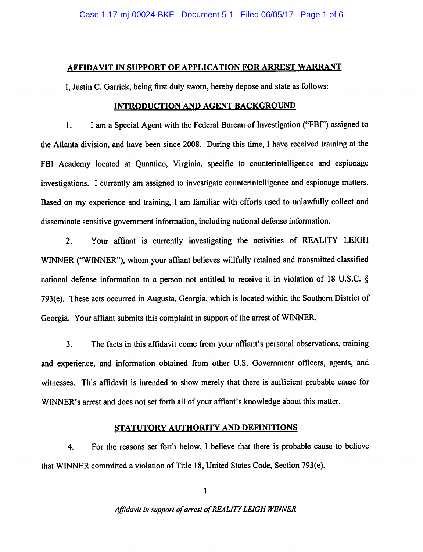### AFFIDAVIT IN SUPPORT OF APPLICATION FOR ARREST WARRANT

I, Justin C. Garrick, being first duly sworn, hereby depose and state as follows:

## INTRODUCTION AND AGENT BACKGROUND

1. I am a Special Agent with the Federal Bureau of Investigation ("FBI") assigned to the Atlanta division, and have been since 2008. During this time, I have received training at the FBI Academy located at Quantico, Virginia, specific to counterintelligence and espionage investigations. I currently am assigned to investigate counterintelligence and espionage matters. Based on my experience and training, I am familiar with efforts used to unlawfully collect and disseminate sensitive government information, including national defense information.

2. Your affiant is currently investigating the activities of REALITY LEIGH WINNER ("WINNER"), whom your affiant believes willfully retained and transmitted classified national defense information to a person not entitled to receive it in violation of 18 U.S.C. § 793(e). These acts occurred in Augusta, Georgia, which is located within the Southern District of Georgia. Your affiant submits this complaint in support of the arrest of WINNER.

3. The facts in this affidavit come from your affiant's personal observations, training and experience, and information obtained from other U.S. Government officers, agents, and witnesses. This affidavit is intended to show merely that there is sufficient probable cause for WINNER's arrest and does not set forth all of your affiant's knowledge about this matter.

# STATUTORY AUTHORITY AND DEFINITIONS

4. For the reasons set forth below, I believe that there is probable cause to believe that WINNER committed a violation of Title 18, United States Code, Section 793(e).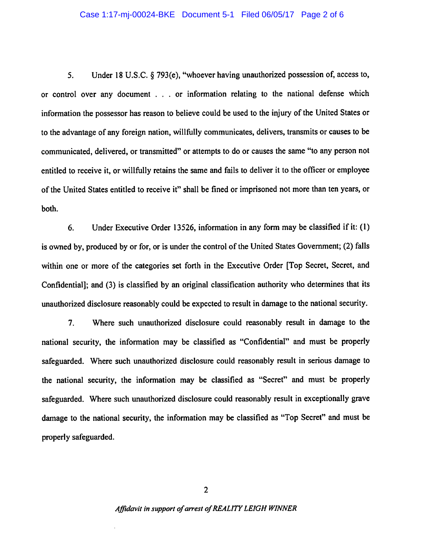#### Case 1:17-mj-00024-BKE Document 5-1 Filed 06/05/17 Page 2 of 6

5. Under 18 U.S.C. § 793(e), "whoever having unauthorized possession of, access to, or control over any document . . . or information relating to the national defense which information the possessor has reason to believe could be used to the injury of the United States or to the advantage of any foreign nation, willfully communicates, delivers, transmits or causes to be communicated, delivered, or transmitted" or attempts to do or causes the same "to any person not entitled to receive it, or willfully retains the same and fails to deliver it to the officer or employee of the United States entitled to receive it" shall be fined or imprisoned not more than ten years, or both.

6. Under Executive Order 13526, information in any form may be classified if it: (1) is owned by, produced by or for, or is under the control of the United States Government; (2) falls within one or more of the categories set forth in the Executive Order [Top Secret, Secret, and Confidential]; and (3) is classified by an original classification authority who determines that its unauthorized disclosure reasonably could be expected to result in damage to the national security.

7. Where such unauthorized disclosure could reasonably result in damage to the national security, the information may be classified as "Confidential" and must be properly safeguarded. Where such unauthorized disclosure could reasonably result in serious damage to the national security, the information may be classified as "Secret" and must be properly safeguarded. Where such unauthorized disclosure could reasonably result in exceptionally grave damage to the national security, the information may be classified as "Top Secret" and must be properly safeguarded.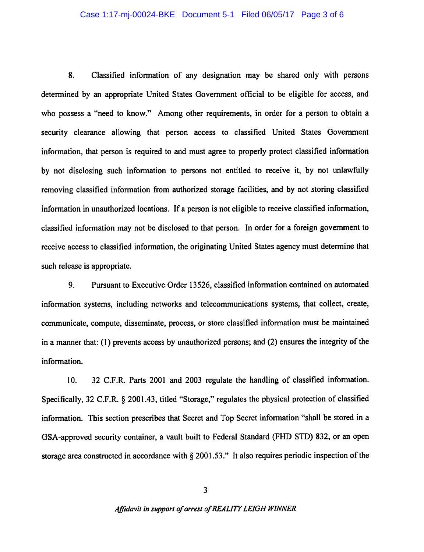#### Case 1:17-mj-00024-BKE Document 5-1 Filed 06/05/17 Page 3 of 6

8. Classified information of any designation may be shared only with persons determined by an appropriate United States Government official to be eligible for access, and who possess a "need to know." Among other requirements, in order for a person to obtain a security clearance allowing that person access to classified United States Government information, that person is required to and must agree to properly protect classified information by not disclosing such information to persons not entitled to receive it, by not unlawfully removing classified information from authorized storage facilities, and by not storing classified information in unauthorized locations. If a person is not eligible to receive classified information, classified information may not be disclosed to that person. In order for a foreign government to receive access to classified information, the originating United States agency must determine that such release is appropriate.

9. Pursuant to Executive Order 13526, classified information contained on automated information systems, including networks and telecommunications systems, that collect, create, communicate, compute, disseminate, process, or store classified information must be maintained in a manner that: (1) prevents access by unauthorized persons; and (2) ensures the integrity of the information.

10. 32 C.F.R. Parts 2001 and 2003 regulate the handling of classified information. Specifically, 32 C.F.R. § 2001.43, titled "Storage," regulates the physical protection of classified information. This section prescribes that Secret and Top Secret information "shall be stored in a GSA-approved security container, a vault built to Federal Standard (FHD STD) 832, or an open storage area constructed in accordance with § 2001.53." It also requires periodic inspection of the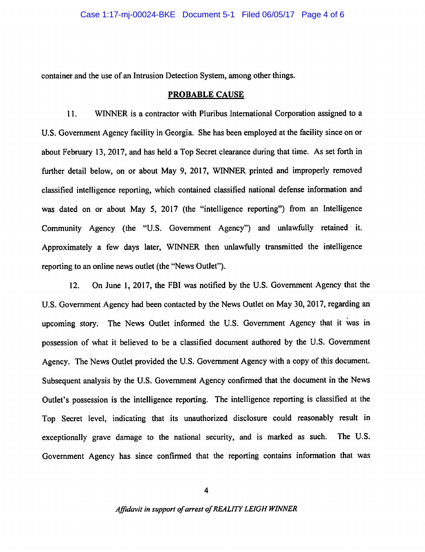container and the use of an Intrusion Detection System, among other things.

### PROBABLE CAUSE

11. WINNER is a contractor with Pluribus International Corporation assigned to a U.S. Government Agency facility in Georgia. She has been employed at the facility since on or about February 13, 2017, and has held a Top Secret clearance during that time. As set forth in further detail below, on or about May 9, 2017, WINNER printed and improperly removed classified intelligence reporting, which contained classified national defense information and was dated on or about May 5, 2017 (the "intelligence reporting") from an Intelligence Community Agency (the "U.S. Government Agency") and unlawfully retained it. Approximately a few days later, WINNER then unlawfully transmitted the intelligence reporting to an online news outlet (the "News Outlet").

12. On June I, 2017, the FBI was notified by the U.S. Government Agency that the U.S. Government Agency had been contacted by the News Outlet on May 30, 2017, regarding an upcoming story. The News Outlet informed the U.S. Government Agency that it was in possession of what it believed to be a classified document authored by the U.S. Government Agency. The News Outlet provided the U.S. Government Agency with a copy of this document. Subsequent analysis by the U.S. Government Agency confirmed that the document in the News Outlet's possession is the intelligence reporting. The intelligence reporting is classified at the Top Secret level, indicating that its unauthorized disclosure could reasonably result in exceptionally grave damage to the national security, and is marked as such. The U.S. Government Agency has since confirmed that the reporting contains information that was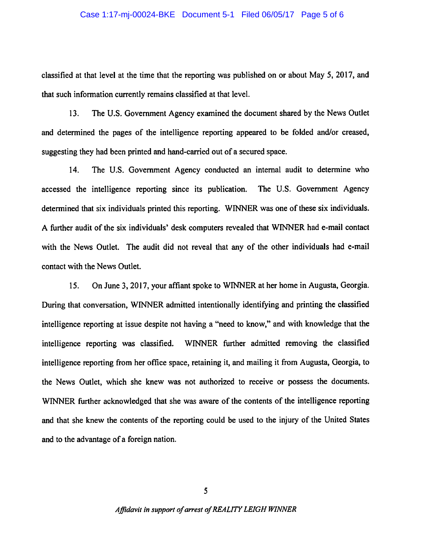#### Case 1:17-mj-00024-BKE Document 5-1 Filed 06/05/17 Page 5 of 6

classified at that level at the time that the reporting was published on or about May 5, 2017, and that such information currently remains classified at that level.

13. The U.S. Government Agency examined the document shared by the News Outlet and determined the pages of the intelligence reporting appeared to be folded and/or creased, suggesting they had been printed and hand-carried out of a secured space.

14. The U.S. Government Agency conducted an internal audit to determine who accessed the intelligence reporting since its publication. The U.S. Government Agency determined that six individuals printed this reporting. WINNER was one of these six individuals. A further audit of the six individuals' desk computers revealed that WINNER had e-mail contact with the News Outlet. The audit did not reveal that any of the other individuals had e-mail contact with the News Outlet.

15. On June 3, 2017, your affiant spoke to WINNER at her home in Augusta, Georgia. During that conversation, WINNER admitted intentionally identifying and printing the classified intelligence reporting at issue despite not having a "need to know," and with knowledge that the intelligence reporting was classified. WINNER further admitted removing the classified intelligence reporting from her office space, retaining it, and mailing it from Augusta, Georgia, to the News Outlet, which she knew was not authorized to receive or possess the documents. WINNER further acknowledged that she was aware of the contents of the intelligence reporting and that she knew the contents of the reporting could be used to the injury of the United States and to the advantage of a foreign nation.